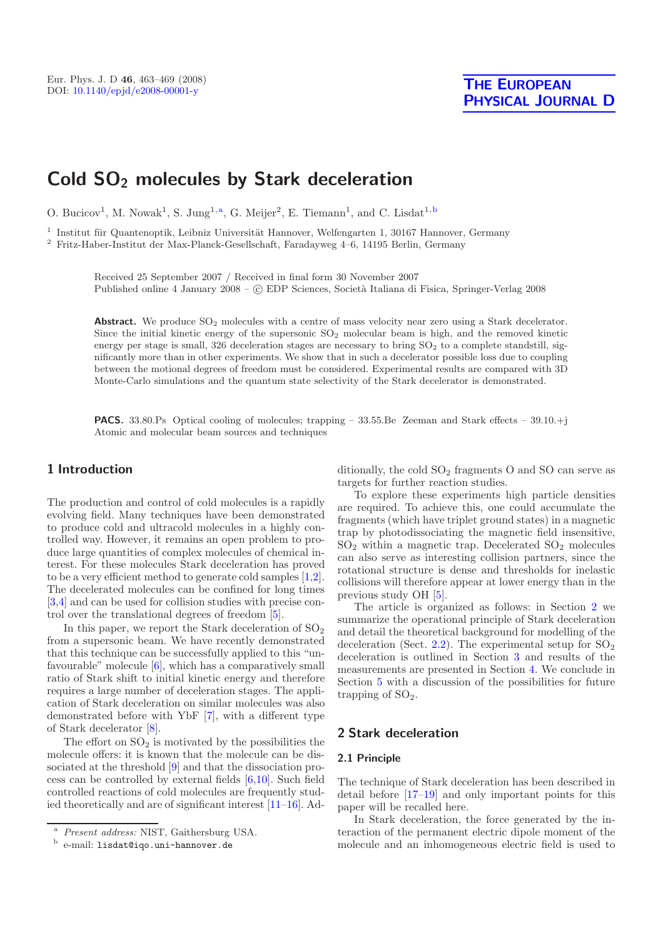# **Cold SO2 molecules by Stark deceleration**

O. Bucicov<sup>1</sup>, M. Nowak<sup>1</sup>, S. Jung<sup>1,a</sup>, G. Meijer<sup>2</sup>, E. Tiemann<sup>1</sup>, and C. Lisdat<sup>1,b</sup>

 $^{\rm 1}$ Institut für Quantenoptik, Leibniz Universität Hannover, Welfengarten 1, 30167 Hannover, Germany

<sup>2</sup> Fritz-Haber-Institut der Max-Planck-Gesellschaft, Faradayweg 4–6, 14195 Berlin, Germany

Received 25 September 2007 / Received in final form 30 November 2007 Published online 4 January 2008 – C EDP Sciences, Società Italiana di Fisica, Springer-Verlag 2008

Abstract. We produce  $SO_2$  molecules with a centre of mass velocity near zero using a Stark decelerator. Since the initial kinetic energy of the supersonic  $SO<sub>2</sub>$  molecular beam is high, and the removed kinetic energy per stage is small, 326 deceleration stages are necessary to bring  $SO<sub>2</sub>$  to a complete standstill, significantly more than in other experiments. We show that in such a decelerator possible loss due to coupling between the motional degrees of freedom must be considered. Experimental results are compared with 3D Monte-Carlo simulations and the quantum state selectivity of the Stark decelerator is demonstrated.

**PACS.** 33.80.Ps Optical cooling of molecules; trapping – 33.55.Be Zeeman and Stark effects – 39.10.+j Atomic and molecular beam sources and techniques

# **1 Introduction**

The production and control of cold molecules is a rapidly evolving field. Many techniques have been demonstrated to produce cold and ultracold molecules in a highly controlled way. However, it remains an open problem to produce large quantities of complex molecules of chemical interest. For these molecules Stark deceleration has proved to be a very efficient method to generate cold samples [\[1](#page-5-0)[,2\]](#page-5-1). The decelerated molecules can be confined for long times [\[3](#page-5-2)[,4\]](#page-5-3) and can be used for collision studies with precise control over the translational degrees of freedom [\[5\]](#page-5-4).

In this paper, we report the Stark deceleration of  $SO<sub>2</sub>$ from a supersonic beam. We have recently demonstrated that this technique can be successfully applied to this "unfavourable" molecule [\[6](#page-5-5)], which has a comparatively small ratio of Stark shift to initial kinetic energy and therefore requires a large number of deceleration stages. The application of Stark deceleration on similar molecules was also demonstrated before with YbF [\[7\]](#page-5-6), with a different type of Stark decelerator [\[8](#page-5-7)].

The effort on  $SO_2$  is motivated by the possibilities the molecule offers: it is known that the molecule can be dissociated at the threshold [\[9\]](#page-5-8) and that the dissociation process can be controlled by external fields [\[6](#page-5-5)[,10\]](#page-5-9). Such field controlled reactions of cold molecules are frequently studied theoretically and are of significant interest [\[11](#page-5-10)[–16](#page-6-0)]. Additionally, the cold  $SO<sub>2</sub>$  fragments O and SO can serve as targets for further reaction studies.

To explore these experiments high particle densities are required. To achieve this, one could accumulate the fragments (which have triplet ground states) in a magnetic trap by photodissociating the magnetic field insensitive,  $SO<sub>2</sub>$  within a magnetic trap. Decelerated  $SO<sub>2</sub>$  molecules can also serve as interesting collision partners, since the rotational structure is dense and thresholds for inelastic collisions will therefore appear at lower energy than in the previous study OH [\[5](#page-5-4)].

The article is organized as follows: in Section [2](#page-0-0) we summarize the operational principle of Stark deceleration and detail the theoretical background for modelling of the deceleration (Sect. [2.2\)](#page-1-0). The experimental setup for  $SO_2$ deceleration is outlined in Section [3](#page-1-1) and results of the measurements are presented in Section [4.](#page-2-0) We conclude in Section [5](#page-5-11) with a discussion of the possibilities for future trapping of  $SO<sub>2</sub>$ .

# <span id="page-0-0"></span>**2 Stark deceleration**

#### **2.1 Principle**

The technique of Stark deceleration has been described in detail before [\[17](#page-6-1)[–19](#page-6-2)] and only important points for this paper will be recalled here.

In Stark deceleration, the force generated by the interaction of the permanent electric dipole moment of the molecule and an inhomogeneous electric field is used to

<sup>a</sup> *Present address:* NIST, Gaithersburg USA.

<sup>b</sup> e-mail: lisdat@iqo.uni-hannover.de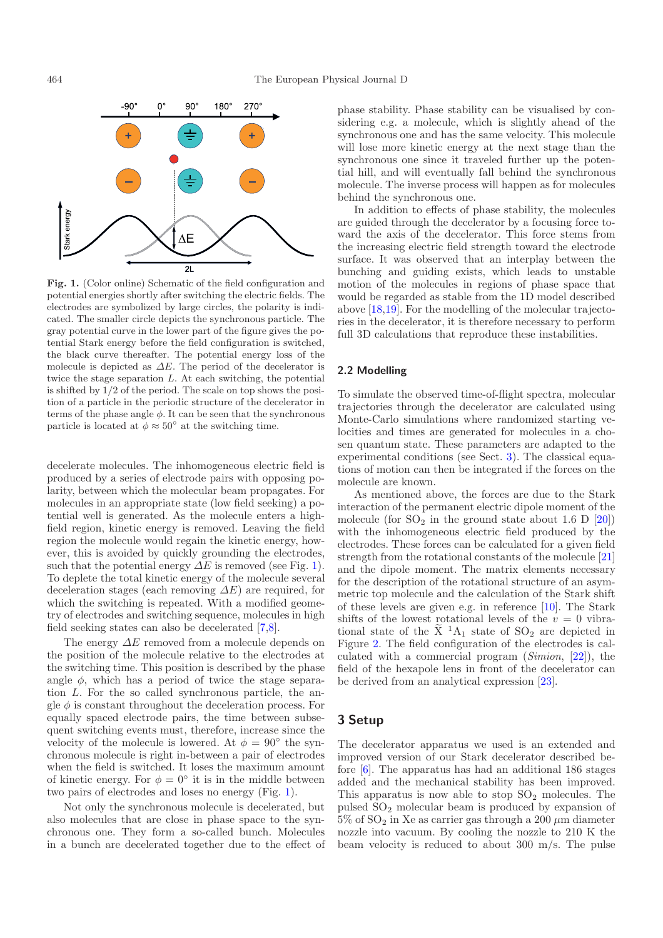<span id="page-1-2"></span>

**Fig. 1.** (Color online) Schematic of the field configuration and potential energies shortly after switching the electric fields. The electrodes are symbolized by large circles, the polarity is indicated. The smaller circle depicts the synchronous particle. The gray potential curve in the lower part of the figure gives the potential Stark energy before the field configuration is switched, the black curve thereafter. The potential energy loss of the molecule is depicted as  $\Delta E$ . The period of the decelerator is twice the stage separation L. At each switching, the potential is shifted by 1/2 of the period. The scale on top shows the position of a particle in the periodic structure of the decelerator in terms of the phase angle  $\phi$ . It can be seen that the synchronous particle is located at  $\phi \approx 50^{\circ}$  at the switching time.

decelerate molecules. The inhomogeneous electric field is produced by a series of electrode pairs with opposing polarity, between which the molecular beam propagates. For molecules in an appropriate state (low field seeking) a potential well is generated. As the molecule enters a highfield region, kinetic energy is removed. Leaving the field region the molecule would regain the kinetic energy, however, this is avoided by quickly grounding the electrodes, such that the potential energy  $\Delta E$  is removed (see Fig. [1\)](#page-1-2). To deplete the total kinetic energy of the molecule several deceleration stages (each removing  $\Delta E$ ) are required, for which the switching is repeated. With a modified geometry of electrodes and switching sequence, molecules in high field seeking states can also be decelerated [\[7](#page-5-6)[,8\]](#page-5-7).

The energy  $\Delta E$  removed from a molecule depends on the position of the molecule relative to the electrodes at the switching time. This position is described by the phase angle  $\phi$ , which has a period of twice the stage separation L. For the so called synchronous particle, the angle  $\phi$  is constant throughout the deceleration process. For equally spaced electrode pairs, the time between subsequent switching events must, therefore, increase since the velocity of the molecule is lowered. At  $\phi = 90^{\circ}$  the synchronous molecule is right in-between a pair of electrodes when the field is switched. It loses the maximum amount of kinetic energy. For  $\phi = 0^{\circ}$  it is in the middle between two pairs of electrodes and loses no energy (Fig. [1\)](#page-1-2).

Not only the synchronous molecule is decelerated, but also molecules that are close in phase space to the synchronous one. They form a so-called bunch. Molecules in a bunch are decelerated together due to the effect of phase stability. Phase stability can be visualised by considering e.g. a molecule, which is slightly ahead of the synchronous one and has the same velocity. This molecule will lose more kinetic energy at the next stage than the synchronous one since it traveled further up the potential hill, and will eventually fall behind the synchronous molecule. The inverse process will happen as for molecules behind the synchronous one.

In addition to effects of phase stability, the molecules are guided through the decelerator by a focusing force toward the axis of the decelerator. This force stems from the increasing electric field strength toward the electrode surface. It was observed that an interplay between the bunching and guiding exists, which leads to unstable motion of the molecules in regions of phase space that would be regarded as stable from the 1D model described above [\[18](#page-6-3)[,19\]](#page-6-2). For the modelling of the molecular trajectories in the decelerator, it is therefore necessary to perform full 3D calculations that reproduce these instabilities.

#### <span id="page-1-0"></span>**2.2 Modelling**

To simulate the observed time-of-flight spectra, molecular trajectories through the decelerator are calculated using Monte-Carlo simulations where randomized starting velocities and times are generated for molecules in a chosen quantum state. These parameters are adapted to the experimental conditions (see Sect. [3\)](#page-1-1). The classical equations of motion can then be integrated if the forces on the molecule are known.

As mentioned above, the forces are due to the Stark interaction of the permanent electric dipole moment of the molecule (for  $SO_2$  in the ground state about 1.6 D [\[20\]](#page-6-4)) with the inhomogeneous electric field produced by the electrodes. These forces can be calculated for a given field strength from the rotational constants of the molecule [\[21\]](#page-6-5) and the dipole moment. The matrix elements necessary for the description of the rotational structure of an asymmetric top molecule and the calculation of the Stark shift of these levels are given e.g. in reference [\[10](#page-5-9)]. The Stark shifts of the lowest rotational levels of the  $v = 0$  vibrational state of the  $\tilde{X}$  <sup>1</sup>A<sub>1</sub> state of SO<sub>2</sub> are depicted in Figure [2.](#page-2-1) The field configuration of the electrodes is calculated with a commercial program (*Simion*, [\[22](#page-6-6)]), the field of the hexapole lens in front of the decelerator can be derived from an analytical expression [\[23](#page-6-7)].

## <span id="page-1-1"></span>**3 Setup**

The decelerator apparatus we used is an extended and improved version of our Stark decelerator described before [\[6\]](#page-5-5). The apparatus has had an additional 186 stages added and the mechanical stability has been improved. This apparatus is now able to stop  $SO<sub>2</sub>$  molecules. The pulsed SO<sup>2</sup> molecular beam is produced by expansion of  $5\%$  of  $SO_2$  in Xe as carrier gas through a 200  $\mu$ m diameter nozzle into vacuum. By cooling the nozzle to 210 K the beam velocity is reduced to about 300 m/s. The pulse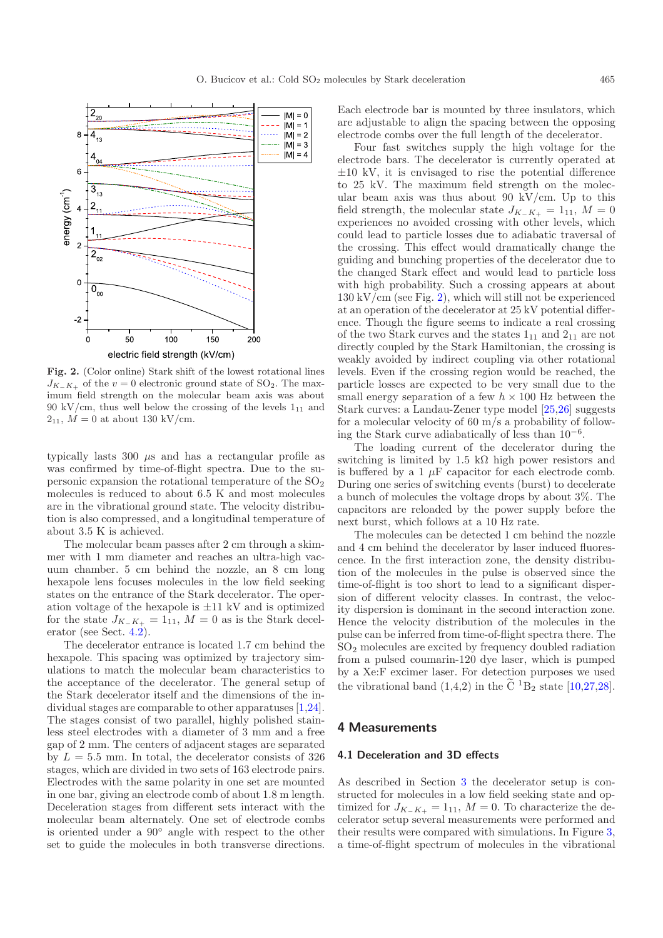<span id="page-2-1"></span>

**Fig. 2.** (Color online) Stark shift of the lowest rotational lines  $J_{K-K_+}$  of the  $v = 0$  electronic ground state of SO<sub>2</sub>. The maximum field strength on the molecular beam axis was about 90 kV/cm, thus well below the crossing of the levels  $1_{11}$  and  $2_{11}$ ,  $M = 0$  at about 130 kV/cm.

typically lasts 300 µs and has a rectangular profile as was confirmed by time-of-flight spectra. Due to the supersonic expansion the rotational temperature of the  $SO<sub>2</sub>$ molecules is reduced to about 6.5 K and most molecules are in the vibrational ground state. The velocity distribution is also compressed, and a longitudinal temperature of about 3.5 K is achieved.

The molecular beam passes after 2 cm through a skimmer with 1 mm diameter and reaches an ultra-high vacuum chamber. 5 cm behind the nozzle, an 8 cm long hexapole lens focuses molecules in the low field seeking states on the entrance of the Stark decelerator. The operation voltage of the hexapole is *±*11 kV and is optimized for the state  $J_{K_-\tilde{K}_+} = 1_{11}$ ,  $M = 0$  as is the Stark decelerator (see Sect. [4.2\)](#page-4-0).

The decelerator entrance is located 1.7 cm behind the hexapole. This spacing was optimized by trajectory simulations to match the molecular beam characteristics to the acceptance of the decelerator. The general setup of the Stark decelerator itself and the dimensions of the individual stages are comparable to other apparatuses [\[1](#page-5-0)[,24\]](#page-6-8). The stages consist of two parallel, highly polished stainless steel electrodes with a diameter of 3 mm and a free gap of 2 mm. The centers of adjacent stages are separated by  $L = 5.5$  mm. In total, the decelerator consists of 326 stages, which are divided in two sets of 163 electrode pairs. Electrodes with the same polarity in one set are mounted in one bar, giving an electrode comb of about 1.8 m length. Deceleration stages from different sets interact with the molecular beam alternately. One set of electrode combs is oriented under a 90◦ angle with respect to the other set to guide the molecules in both transverse directions.

Each electrode bar is mounted by three insulators, which are adjustable to align the spacing between the opposing electrode combs over the full length of the decelerator.

Four fast switches supply the high voltage for the electrode bars. The decelerator is currently operated at *±*10 kV, it is envisaged to rise the potential difference to 25 kV. The maximum field strength on the molecular beam axis was thus about 90 kV/cm. Up to this field strength, the molecular state  $J_{K_-\bar{K}_+} = 1_{11}$ ,  $M = 0$ experiences no avoided crossing with other levels, which could lead to particle losses due to adiabatic traversal of the crossing. This effect would dramatically change the guiding and bunching properties of the decelerator due to the changed Stark effect and would lead to particle loss with high probability. Such a crossing appears at about  $130 \mathrm{kV/cm}$  (see Fig. [2\)](#page-2-1), which will still not be experienced at an operation of the decelerator at 25 kV potential difference. Though the figure seems to indicate a real crossing of the two Stark curves and the states  $1_{11}$  and  $2_{11}$  are not directly coupled by the Stark Hamiltonian, the crossing is weakly avoided by indirect coupling via other rotational levels. Even if the crossing region would be reached, the particle losses are expected to be very small due to the small energy separation of a few  $h \times 100$  Hz between the Stark curves: a Landau-Zener type model [\[25](#page-6-9)[,26\]](#page-6-10) suggests for a molecular velocity of 60 m/s a probability of following the Stark curve adiabatically of less than  $10^{-6}$ .

The loading current of the decelerator during the switching is limited by 1.5 kΩ high power resistors and is buffered by a 1  $\mu$ F capacitor for each electrode comb. During one series of switching events (burst) to decelerate a bunch of molecules the voltage drops by about 3%. The capacitors are reloaded by the power supply before the next burst, which follows at a 10 Hz rate.

The molecules can be detected 1 cm behind the nozzle and 4 cm behind the decelerator by laser induced fluorescence. In the first interaction zone, the density distribution of the molecules in the pulse is observed since the time-of-flight is too short to lead to a significant dispersion of different velocity classes. In contrast, the velocity dispersion is dominant in the second interaction zone. Hence the velocity distribution of the molecules in the pulse can be inferred from time-of-flight spectra there. The SO<sup>2</sup> molecules are excited by frequency doubled radiation from a pulsed coumarin-120 dye laser, which is pumped by a Xe:F excimer laser. For detection purposes we used the vibrational band  $(1,4,2)$  in the  $\widetilde{C}$  <sup>1</sup>B<sub>2</sub> state [\[10](#page-5-9)[,27](#page-6-11)[,28\]](#page-6-12).

### <span id="page-2-0"></span>**4 Measurements**

#### **4.1 Deceleration and 3D effects**

As described in Section [3](#page-1-1) the decelerator setup is constructed for molecules in a low field seeking state and optimized for  $J_{K-K_+} = 1_{11}$ ,  $M = 0$ . To characterize the decelerator setup several measurements were performed and their results were compared with simulations. In Figure [3,](#page-3-0) a time-of-flight spectrum of molecules in the vibrational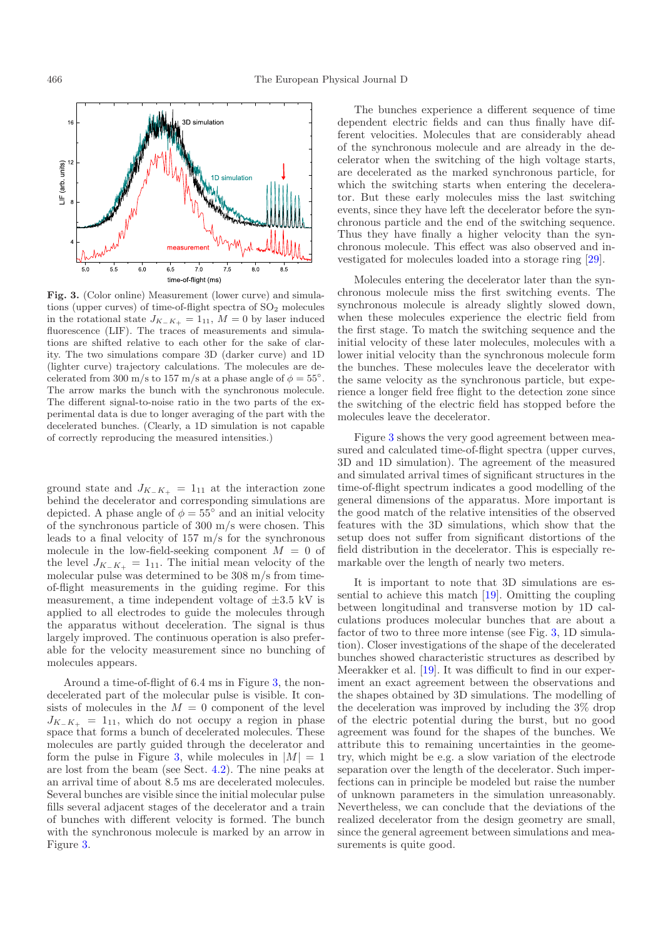<span id="page-3-0"></span>

**Fig. 3.** (Color online) Measurement (lower curve) and simulations (upper curves) of time-of-flight spectra of SO<sub>2</sub> molecules in the rotational state  $J_{K_-\,K_+} = 1_{11}$ ,  $M = 0$  by laser induced fluorescence (LIF). The traces of measurements and simulations are shifted relative to each other for the sake of clarity. The two simulations compare 3D (darker curve) and 1D (lighter curve) trajectory calculations. The molecules are decelerated from 300 m/s to 157 m/s at a phase angle of  $\phi = 55^{\circ}$ . The arrow marks the bunch with the synchronous molecule. The different signal-to-noise ratio in the two parts of the experimental data is due to longer averaging of the part with the decelerated bunches. (Clearly, a 1D simulation is not capable of correctly reproducing the measured intensities.)

ground state and  $J_{K−K_{+}} = 1_{11}$  at the interaction zone behind the decelerator and corresponding simulations are depicted. A phase angle of  $\phi = 55^{\circ}$  and an initial velocity of the synchronous particle of 300 m/s were chosen. This leads to a final velocity of 157 m/s for the synchronous molecule in the low-field-seeking component  $M = 0$  of the level  $J_{K_-\tilde{K}_+} = 1_{11}$ . The initial mean velocity of the molecular pulse was determined to be 308 m/s from timeof-flight measurements in the guiding regime. For this measurement, a time independent voltage of *±*3.5 kV is applied to all electrodes to guide the molecules through the apparatus without deceleration. The signal is thus largely improved. The continuous operation is also preferable for the velocity measurement since no bunching of molecules appears.

Around a time-of-flight of 6.4 ms in Figure [3,](#page-3-0) the nondecelerated part of the molecular pulse is visible. It consists of molecules in the  $M = 0$  component of the level  $J_{K-K_{+}} = 1_{11}$ , which do not occupy a region in phase space that forms a bunch of decelerated molecules. These molecules are partly guided through the decelerator and form the pulse in Figure [3,](#page-3-0) while molecules in  $|M| = 1$ are lost from the beam (see Sect. [4.2\)](#page-4-0). The nine peaks at an arrival time of about 8.5 ms are decelerated molecules. Several bunches are visible since the initial molecular pulse fills several adjacent stages of the decelerator and a train of bunches with different velocity is formed. The bunch with the synchronous molecule is marked by an arrow in Figure [3.](#page-3-0)

The bunches experience a different sequence of time dependent electric fields and can thus finally have different velocities. Molecules that are considerably ahead of the synchronous molecule and are already in the decelerator when the switching of the high voltage starts, are decelerated as the marked synchronous particle, for which the switching starts when entering the decelerator. But these early molecules miss the last switching events, since they have left the decelerator before the synchronous particle and the end of the switching sequence. Thus they have finally a higher velocity than the synchronous molecule. This effect was also observed and investigated for molecules loaded into a storage ring [\[29\]](#page-6-13).

Molecules entering the decelerator later than the synchronous molecule miss the first switching events. The synchronous molecule is already slightly slowed down, when these molecules experience the electric field from the first stage. To match the switching sequence and the initial velocity of these later molecules, molecules with a lower initial velocity than the synchronous molecule form the bunches. These molecules leave the decelerator with the same velocity as the synchronous particle, but experience a longer field free flight to the detection zone since the switching of the electric field has stopped before the molecules leave the decelerator.

Figure [3](#page-3-0) shows the very good agreement between measured and calculated time-of-flight spectra (upper curves, 3D and 1D simulation). The agreement of the measured and simulated arrival times of significant structures in the time-of-flight spectrum indicates a good modelling of the general dimensions of the apparatus. More important is the good match of the relative intensities of the observed features with the 3D simulations, which show that the setup does not suffer from significant distortions of the field distribution in the decelerator. This is especially remarkable over the length of nearly two meters.

It is important to note that 3D simulations are essential to achieve this match [\[19](#page-6-2)]. Omitting the coupling between longitudinal and transverse motion by 1D calculations produces molecular bunches that are about a factor of two to three more intense (see Fig. [3,](#page-3-0) 1D simulation). Closer investigations of the shape of the decelerated bunches showed characteristic structures as described by Meerakker et al. [\[19\]](#page-6-2). It was difficult to find in our experiment an exact agreement between the observations and the shapes obtained by 3D simulations. The modelling of the deceleration was improved by including the 3% drop of the electric potential during the burst, but no good agreement was found for the shapes of the bunches. We attribute this to remaining uncertainties in the geometry, which might be e.g. a slow variation of the electrode separation over the length of the decelerator. Such imperfections can in principle be modeled but raise the number of unknown parameters in the simulation unreasonably. Nevertheless, we can conclude that the deviations of the realized decelerator from the design geometry are small, since the general agreement between simulations and measurements is quite good.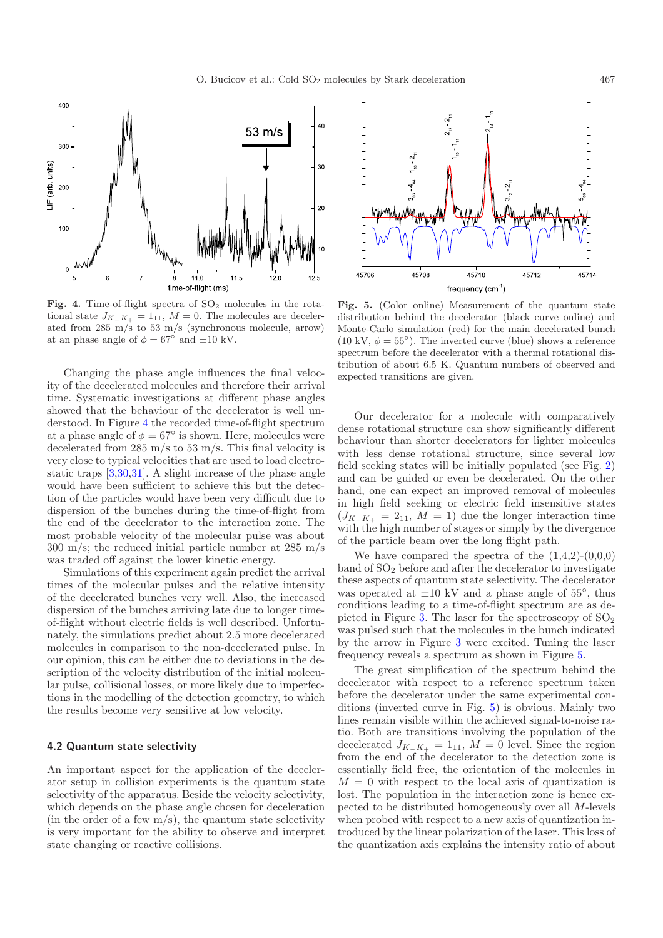<span id="page-4-1"></span>

Fig. 4. Time-of-flight spectra of SO<sub>2</sub> molecules in the rotational state  $J_{K_-\,K_+} = 1_{11}$ ,  $M = 0$ . The molecules are decelerated from 285 m/s to 53 m/s (synchronous molecule, arrow) at an phase angle of  $\phi = 67^{\circ}$  and  $\pm 10$  kV.

Changing the phase angle influences the final velocity of the decelerated molecules and therefore their arrival time. Systematic investigations at different phase angles showed that the behaviour of the decelerator is well understood. In Figure [4](#page-4-1) the recorded time-of-flight spectrum at a phase angle of  $\phi = 67^{\circ}$  is shown. Here, molecules were decelerated from 285 m/s to 53 m/s. This final velocity is very close to typical velocities that are used to load electrostatic traps [\[3](#page-5-2)[,30](#page-6-14)[,31](#page-6-15)]. A slight increase of the phase angle would have been sufficient to achieve this but the detection of the particles would have been very difficult due to dispersion of the bunches during the time-of-flight from the end of the decelerator to the interaction zone. The most probable velocity of the molecular pulse was about 300 m/s; the reduced initial particle number at 285 m/s was traded off against the lower kinetic energy.

Simulations of this experiment again predict the arrival times of the molecular pulses and the relative intensity of the decelerated bunches very well. Also, the increased dispersion of the bunches arriving late due to longer timeof-flight without electric fields is well described. Unfortunately, the simulations predict about 2.5 more decelerated molecules in comparison to the non-decelerated pulse. In our opinion, this can be either due to deviations in the description of the velocity distribution of the initial molecular pulse, collisional losses, or more likely due to imperfections in the modelling of the detection geometry, to which the results become very sensitive at low velocity.

#### <span id="page-4-0"></span>**4.2 Quantum state selectivity**

An important aspect for the application of the decelerator setup in collision experiments is the quantum state selectivity of the apparatus. Beside the velocity selectivity, which depends on the phase angle chosen for deceleration (in the order of a few  $m/s$ ), the quantum state selectivity is very important for the ability to observe and interpret state changing or reactive collisions.

<span id="page-4-2"></span>

**Fig. 5.** (Color online) Measurement of the quantum state distribution behind the decelerator (black curve online) and Monte-Carlo simulation (red) for the main decelerated bunch (10 kV,  $\phi = 55^{\circ}$ ). The inverted curve (blue) shows a reference spectrum before the decelerator with a thermal rotational distribution of about 6.5 K. Quantum numbers of observed and expected transitions are given.

Our decelerator for a molecule with comparatively dense rotational structure can show significantly different behaviour than shorter decelerators for lighter molecules with less dense rotational structure, since several low field seeking states will be initially populated (see Fig. [2\)](#page-2-1) and can be guided or even be decelerated. On the other hand, one can expect an improved removal of molecules in high field seeking or electric field insensitive states  $(J_{K-K_{+}} = 2_{11}, M = 1)$  due the longer interaction time with the high number of stages or simply by the divergence of the particle beam over the long flight path.

We have compared the spectra of the  $(1,4,2)-(0,0,0)$ band of  $SO<sub>2</sub>$  before and after the decelerator to investigate these aspects of quantum state selectivity. The decelerator was operated at  $\pm 10$  kV and a phase angle of 55 $^{\circ}$ , thus conditions leading to a time-of-flight spectrum are as de-picted in Figure [3.](#page-3-0) The laser for the spectroscopy of  $SO<sub>2</sub>$ was pulsed such that the molecules in the bunch indicated by the arrow in Figure [3](#page-3-0) were excited. Tuning the laser frequency reveals a spectrum as shown in Figure [5.](#page-4-2)

The great simplification of the spectrum behind the decelerator with respect to a reference spectrum taken before the decelerator under the same experimental conditions (inverted curve in Fig. [5\)](#page-4-2) is obvious. Mainly two lines remain visible within the achieved signal-to-noise ratio. Both are transitions involving the population of the decelerated  $J_{K_-\,K_+} = 1_{11}$ ,  $M = 0$  level. Since the region from the end of the decelerator to the detection zone is essentially field free, the orientation of the molecules in  $M = 0$  with respect to the local axis of quantization is lost. The population in the interaction zone is hence expected to be distributed homogeneously over all M-levels when probed with respect to a new axis of quantization introduced by the linear polarization of the laser. This loss of the quantization axis explains the intensity ratio of about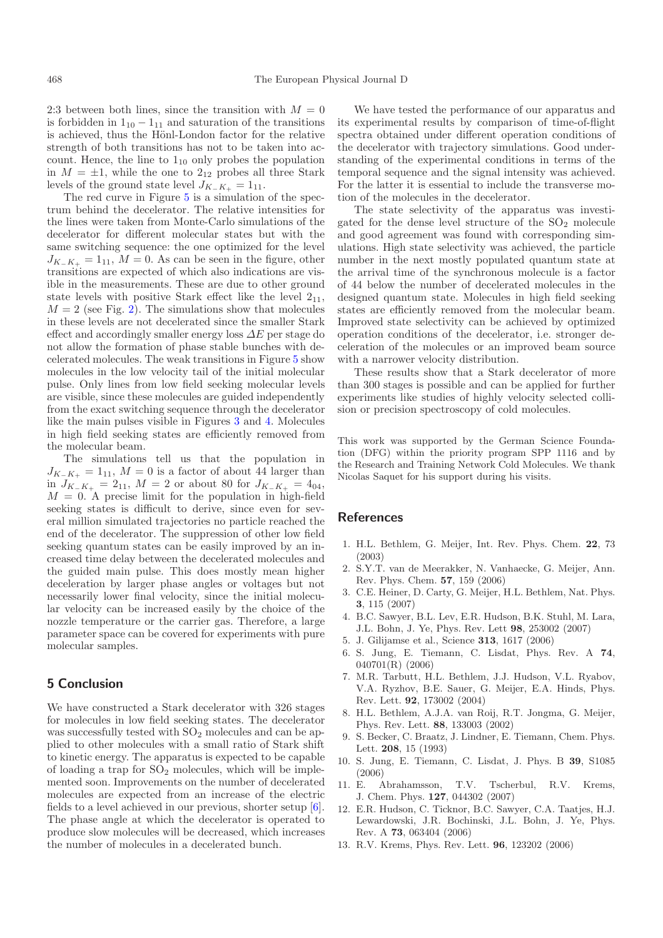2:3 between both lines, since the transition with  $M = 0$ is forbidden in  $1_{10} - 1_{11}$  and saturation of the transitions is achieved, thus the Hönl-London factor for the relative strength of both transitions has not to be taken into account. Hence, the line to  $1_{10}$  only probes the population in  $M = \pm 1$ , while the one to 2<sub>12</sub> probes all three Stark levels of the ground state level  $J_{K-K+} = 1_{11}$ .

The red curve in Figure [5](#page-4-2) is a simulation of the spectrum behind the decelerator. The relative intensities for the lines were taken from Monte-Carlo simulations of the decelerator for different molecular states but with the same switching sequence: the one optimized for the level  $J_{K-K_+} = 1_{11}$ ,  $M = 0$ . As can be seen in the figure, other transitions are expected of which also indications are visible in the measurements. These are due to other ground state levels with positive Stark effect like the level  $2_{11}$ ,  $M = 2$  (see Fig. [2\)](#page-2-1). The simulations show that molecules in these levels are not decelerated since the smaller Stark effect and accordingly smaller energy loss  $\Delta E$  per stage do not allow the formation of phase stable bunches with decelerated molecules. The weak transitions in Figure [5](#page-4-2) show molecules in the low velocity tail of the initial molecular pulse. Only lines from low field seeking molecular levels are visible, since these molecules are guided independently from the exact switching sequence through the decelerator like the main pulses visible in Figures [3](#page-3-0) and [4.](#page-4-1) Molecules in high field seeking states are efficiently removed from the molecular beam.

The simulations tell us that the population in  $J_{K-K_+} = 1_{11}$ ,  $M = 0$  is a factor of about 44 larger than in  $J_{K_–K_+} = 2_{11}$ ,  $M = 2$  or about 80 for  $J_{K_–K_+} = 4_{04}$ ,  $M = 0$ . A precise limit for the population in high-field seeking states is difficult to derive, since even for several million simulated trajectories no particle reached the end of the decelerator. The suppression of other low field seeking quantum states can be easily improved by an increased time delay between the decelerated molecules and the guided main pulse. This does mostly mean higher deceleration by larger phase angles or voltages but not necessarily lower final velocity, since the initial molecular velocity can be increased easily by the choice of the nozzle temperature or the carrier gas. Therefore, a large parameter space can be covered for experiments with pure molecular samples.

# <span id="page-5-11"></span>**5 Conclusion**

We have constructed a Stark decelerator with 326 stages for molecules in low field seeking states. The decelerator was successfully tested with  $SO_2$  molecules and can be applied to other molecules with a small ratio of Stark shift to kinetic energy. The apparatus is expected to be capable of loading a trap for  $SO<sub>2</sub>$  molecules, which will be implemented soon. Improvements on the number of decelerated molecules are expected from an increase of the electric fields to a level achieved in our previous, shorter setup [\[6\]](#page-5-5). The phase angle at which the decelerator is operated to produce slow molecules will be decreased, which increases the number of molecules in a decelerated bunch.

We have tested the performance of our apparatus and its experimental results by comparison of time-of-flight spectra obtained under different operation conditions of the decelerator with trajectory simulations. Good understanding of the experimental conditions in terms of the temporal sequence and the signal intensity was achieved. For the latter it is essential to include the transverse motion of the molecules in the decelerator.

The state selectivity of the apparatus was investigated for the dense level structure of the  $SO<sub>2</sub>$  molecule and good agreement was found with corresponding simulations. High state selectivity was achieved, the particle number in the next mostly populated quantum state at the arrival time of the synchronous molecule is a factor of 44 below the number of decelerated molecules in the designed quantum state. Molecules in high field seeking states are efficiently removed from the molecular beam. Improved state selectivity can be achieved by optimized operation conditions of the decelerator, i.e. stronger deceleration of the molecules or an improved beam source with a narrower velocity distribution.

These results show that a Stark decelerator of more than 300 stages is possible and can be applied for further experiments like studies of highly velocity selected collision or precision spectroscopy of cold molecules.

This work was supported by the German Science Foundation (DFG) within the priority program SPP 1116 and by the Research and Training Network Cold Molecules. We thank Nicolas Saquet for his support during his visits.

## <span id="page-5-0"></span>**References**

- 1. H.L. Bethlem, G. Meijer, Int. Rev. Phys. Chem. **22**, 73 (2003)
- <span id="page-5-1"></span>2. S.Y.T. van de Meerakker, N. Vanhaecke, G. Meijer, Ann. Rev. Phys. Chem. **57**, 159 (2006)
- <span id="page-5-2"></span>3. C.E. Heiner, D. Carty, G. Meijer, H.L. Bethlem, Nat. Phys. **3**, 115 (2007)
- <span id="page-5-3"></span>4. B.C. Sawyer, B.L. Lev, E.R. Hudson, B.K. Stuhl, M. Lara, J.L. Bohn, J. Ye, Phys. Rev. Lett **98**, 253002 (2007)
- <span id="page-5-4"></span>5. J. Gilijamse et al., Science **313**, 1617 (2006)
- <span id="page-5-5"></span>6. S. Jung, E. Tiemann, C. Lisdat, Phys. Rev. A **74**, 040701(R) (2006)
- <span id="page-5-6"></span>7. M.R. Tarbutt, H.L. Bethlem, J.J. Hudson, V.L. Ryabov, V.A. Ryzhov, B.E. Sauer, G. Meijer, E.A. Hinds, Phys. Rev. Lett. **92**, 173002 (2004)
- <span id="page-5-7"></span>8. H.L. Bethlem, A.J.A. van Roij, R.T. Jongma, G. Meijer, Phys. Rev. Lett. **88**, 133003 (2002)
- <span id="page-5-8"></span>9. S. Becker, C. Braatz, J. Lindner, E. Tiemann, Chem. Phys. Lett. **208**, 15 (1993)
- <span id="page-5-9"></span>10. S. Jung, E. Tiemann, C. Lisdat, J. Phys. B **39**, S1085 (2006)
- <span id="page-5-10"></span>11. E. Abrahamsson, T.V. Tscherbul, R.V. Krems, J. Chem. Phys. **127**, 044302 (2007)
- 12. E.R. Hudson, C. Ticknor, B.C. Sawyer, C.A. Taatjes, H.J. Lewardowski, J.R. Bochinski, J.L. Bohn, J. Ye, Phys. Rev. A **73**, 063404 (2006)
- 13. R.V. Krems, Phys. Rev. Lett. **96**, 123202 (2006)